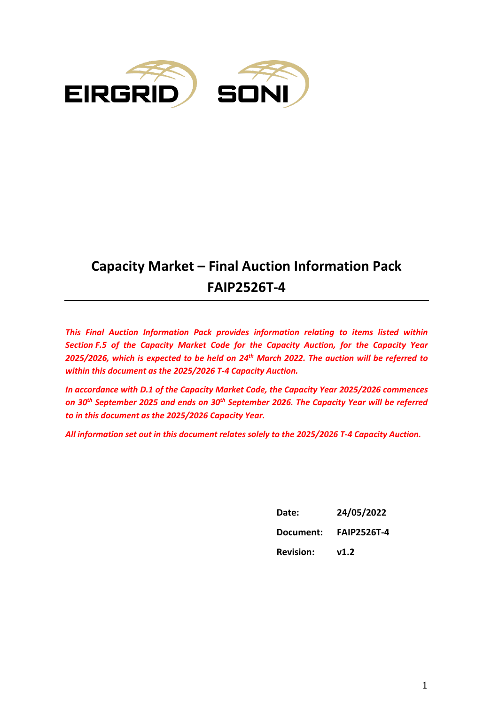

# **Capacity Market – Final Auction Information Pack FAIP2526T-4**

*This Final Auction Information Pack provides information relating to items listed within Section F.5 of the Capacity Market Code for the Capacity Auction, for the Capacity Year 2025/2026, which is expected to be held on 24th March 2022. The auction will be referred to within this document as the 2025/2026 T-4 Capacity Auction.* 

*In accordance with D.1 of the Capacity Market Code, the Capacity Year 2025/2026 commences on 30th September 2025 and ends on 30th September 2026. The Capacity Year will be referred to in this document as the 2025/2026 Capacity Year.*

*All information set out in this document relates solely to the 2025/2026 T-4 Capacity Auction.*

| Date:            | 24/05/2022         |
|------------------|--------------------|
| Document:        | <b>FAIP2526T-4</b> |
| <b>Revision:</b> | v1.2               |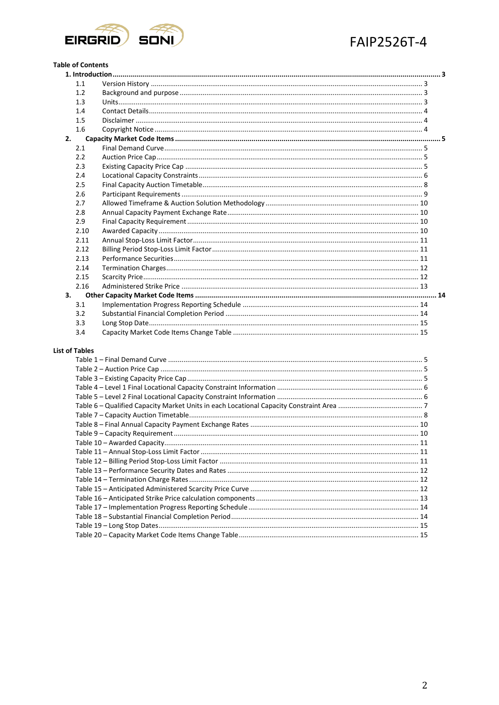

#### **Table of Contents**

| 1.1         |                               |    |
|-------------|-------------------------------|----|
| 1.2         |                               |    |
| 1.3         |                               |    |
| 1.4         |                               |    |
| 1.5         |                               |    |
| 1.6         |                               |    |
| 2.          |                               |    |
| 2.1         |                               |    |
| 2.2         |                               |    |
| 2.3         |                               |    |
| 2.4         |                               |    |
| 2.5         |                               |    |
| 2.6         |                               |    |
| 2.7         |                               |    |
| 2.8         |                               |    |
| 2.9         |                               |    |
| 2.10        |                               |    |
| 2.11        |                               |    |
| 2.12        |                               |    |
| 2.13        |                               |    |
| 2.14        |                               |    |
| 2.15        |                               |    |
| 2.16        |                               |    |
| 3.          |                               |    |
| 3.1         |                               |    |
| 3.2         |                               |    |
| 3.3         |                               |    |
| 3.4         |                               |    |
| t of Tables |                               |    |
|             | $Table 1 - Find Domand Curvo$ | п. |

#### Lis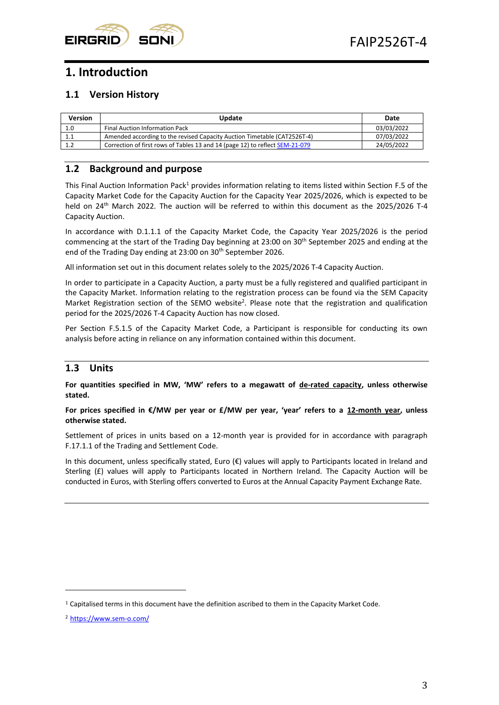

## <span id="page-2-0"></span>**1. Introduction**

## <span id="page-2-1"></span>**1.1 Version History**

| Version | <b>Update</b>                                                                | Date       |
|---------|------------------------------------------------------------------------------|------------|
| 1.0     | Final Auction Information Pack                                               | 03/03/2022 |
| 1.1     | Amended according to the revised Capacity Auction Timetable (CAT2526T-4)     | 07/03/2022 |
| 1.2     | Correction of first rows of Tables 13 and 14 (page 12) to reflect SEM-21-079 | 24/05/2022 |

## <span id="page-2-2"></span>**1.2 Background and purpose**

This Final Auction Information Pack<sup>1</sup> provides information relating to items listed within Section F.5 of the Capacity Market Code for the Capacity Auction for the Capacity Year 2025/2026, which is expected to be held on 24th March 2022*.* The auction will be referred to within this document as the 2025/2026 T-4 Capacity Auction.

In accordance with D.1.1.1 of the Capacity Market Code, the Capacity Year 2025/2026 is the period commencing at the start of the Trading Day beginning at 23:00 on 30<sup>th</sup> September 2025 and ending at the end of the Trading Day ending at 23:00 on 30<sup>th</sup> September 2026.

All information set out in this document relates solely to the 2025/2026 T-4 Capacity Auction.

In order to participate in a Capacity Auction, a party must be a fully registered and qualified participant in the Capacity Market. Information relating to the registration process can be found via the SEM Capacity Market Registration section of the SEMO website<sup>2</sup>. Please note that the registration and qualification period for the 2025/2026 T-4 Capacity Auction has now closed.

Per Section F.5.1.5 of the Capacity Market Code, a Participant is responsible for conducting its own analysis before acting in reliance on any information contained within this document.

## <span id="page-2-3"></span>**1.3 Units**

**For quantities specified in MW, 'MW' refers to a megawatt of de-rated capacity, unless otherwise stated.**

**For prices specified in €/MW per year or £/MW per year, 'year' refers to a 12-month year, unless otherwise stated.**

Settlement of prices in units based on a 12-month year is provided for in accordance with paragraph F.17.1.1 of the Trading and Settlement Code.

In this document, unless specifically stated, Euro (€) values will apply to Participants located in Ireland and Sterling  $(f)$  values will apply to Participants located in Northern Ireland. The Capacity Auction will be conducted in Euros, with Sterling offers converted to Euros at the Annual Capacity Payment Exchange Rate.

 $1$  Capitalised terms in this document have the definition ascribed to them in the Capacity Market Code.

<sup>2</sup> <https://www.sem-o.com/>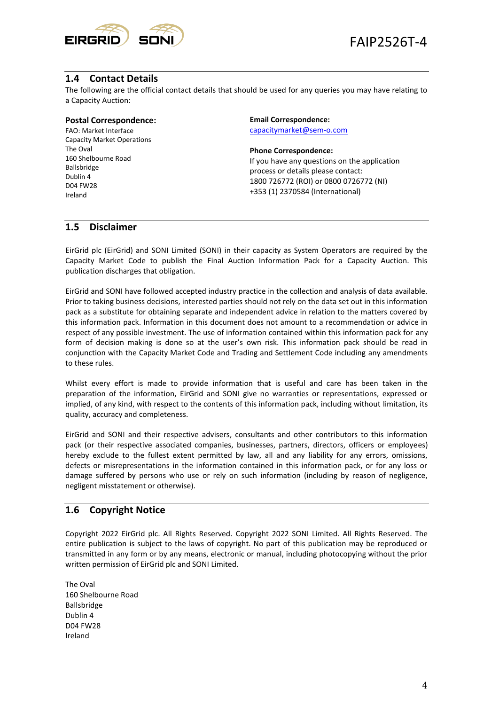

## <span id="page-3-0"></span>**1.4 Contact Details**

The following are the official contact details that should be used for any queries you may have relating to a Capacity Auction:

#### **Postal Correspondence:**

FAO: Market Interface Capacity Market Operations The Oval 160 Shelbourne Road Ballsbridge Dublin 4 D04 FW28 Ireland

**Email Correspondence:**  [capacitymarket@sem-o.com](mailto:capacitymarket@sem-o.com)

#### **Phone Correspondence:**

If you have any questions on the application process or details please contact: 1800 726772 (ROI) or 0800 0726772 (NI) +353 (1) 2370584 (International)

#### <span id="page-3-1"></span>**1.5 Disclaimer**

EirGrid plc (EirGrid) and SONI Limited (SONI) in their capacity as System Operators are required by the Capacity Market Code to publish the Final Auction Information Pack for a Capacity Auction. This publication discharges that obligation.

EirGrid and SONI have followed accepted industry practice in the collection and analysis of data available. Prior to taking business decisions, interested parties should not rely on the data set out in this information pack as a substitute for obtaining separate and independent advice in relation to the matters covered by this information pack. Information in this document does not amount to a recommendation or advice in respect of any possible investment. The use of information contained within this information pack for any form of decision making is done so at the user's own risk. This information pack should be read in conjunction with the Capacity Market Code and Trading and Settlement Code including any amendments to these rules.

Whilst every effort is made to provide information that is useful and care has been taken in the preparation of the information, EirGrid and SONI give no warranties or representations, expressed or implied, of any kind, with respect to the contents of this information pack, including without limitation, its quality, accuracy and completeness.

EirGrid and SONI and their respective advisers, consultants and other contributors to this information pack (or their respective associated companies, businesses, partners, directors, officers or employees) hereby exclude to the fullest extent permitted by law, all and any liability for any errors, omissions, defects or misrepresentations in the information contained in this information pack, or for any loss or damage suffered by persons who use or rely on such information (including by reason of negligence, negligent misstatement or otherwise).

#### <span id="page-3-2"></span>**1.6 Copyright Notice**

Copyright 2022 EirGrid plc. All Rights Reserved. Copyright 2022 SONI Limited. All Rights Reserved. The entire publication is subject to the laws of copyright. No part of this publication may be reproduced or transmitted in any form or by any means, electronic or manual, including photocopying without the prior written permission of EirGrid plc and SONI Limited.

The Oval 160 Shelbourne Road Ballsbridge Dublin 4 D04 FW28 Ireland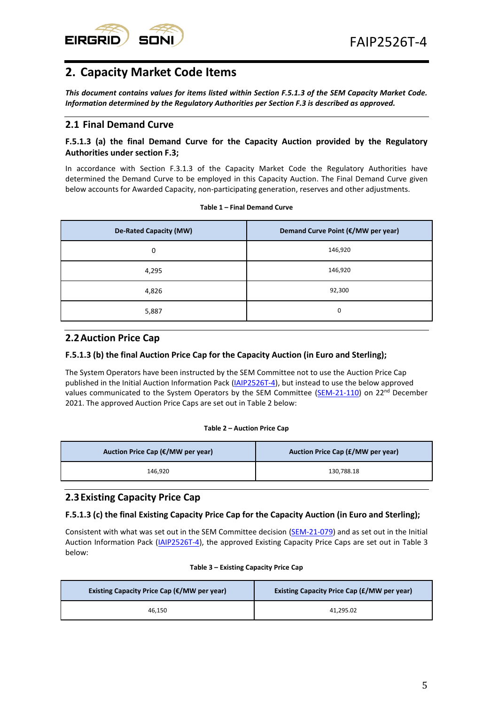

## <span id="page-4-0"></span>**2. Capacity Market Code Items**

*This document contains values for items listed within Section F.5.1.3 of the SEM Capacity Market Code. Information determined by the Regulatory Authorities per Section F.3 is described as approved.* 

## <span id="page-4-1"></span>**2.1 Final Demand Curve**

#### **F.5.1.3 (a) the final Demand Curve for the Capacity Auction provided by the Regulatory Authorities under section F.3;**

In accordance with Section F.3.1.3 of the Capacity Market Code the Regulatory Authorities have determined the Demand Curve to be employed in this Capacity Auction. The Final Demand Curve given below accounts for Awarded Capacity, non-participating generation, reserves and other adjustments.

<span id="page-4-4"></span>

| <b>De-Rated Capacity (MW)</b> | Demand Curve Point (€/MW per year) |
|-------------------------------|------------------------------------|
| 0                             | 146,920                            |
| 4,295                         | 146,920                            |
| 4,826                         | 92,300                             |
| 5,887                         | 0                                  |

#### **Table 1 – Final Demand Curve**

## <span id="page-4-2"></span>**2.2Auction Price Cap**

#### **F.5.1.3 (b) the final Auction Price Cap for the Capacity Auction (in Euro and Sterling);**

The System Operators have been instructed by the SEM Committee not to use the Auction Price Cap published in the Initial Auction Information Pack [\(IAIP2526T-4\)](https://www.sem-o.com/documents/general-publications/Initial-Auction-Information-Pack_IAIP2526T-4.pdf), but instead to use the below approved values communicated to the System Operators by the SEM Committee [\(SEM-21-110\)](https://www.semcommittee.com/sites/semc/files/media-files/SEM-21-110%20Information%20Note%20on%20indexation%20of%20Auction%20Price%20Cap.pdf) on 22<sup>nd</sup> December 2021. The approved Auction Price Caps are set out in Table 2 below:

#### **Table 2 – Auction Price Cap**

<span id="page-4-5"></span>

| Auction Price Cap (€/MW per year) | Auction Price Cap (£/MW per year) |  |
|-----------------------------------|-----------------------------------|--|
| 146.920                           | 130.788.18                        |  |

## <span id="page-4-3"></span>**2.3Existing Capacity Price Cap**

#### **F.5.1.3 (c) the final Existing Capacity Price Cap for the Capacity Auction (in Euro and Sterling);**

Consistent with what was set out in the SEM Committee decision [\(SEM-21-079\)](https://www.semcommittee.com/sites/semc/files/media-files/T-4_2025_26_Parameters_Decision_Paper.pdf) and as set out in the Initial Auction Information Pack [\(IAIP2526T-4\)](https://www.sem-o.com/documents/general-publications/Initial-Auction-Information-Pack_IAIP2526T-4.pdf), the approved Existing Capacity Price Caps are set out in Table 3 below:

#### **Table 3 – Existing Capacity Price Cap**

<span id="page-4-6"></span>

| Existing Capacity Price Cap ( $\epsilon$ /MW per year) | <b>Existing Capacity Price Cap (£/MW per year)</b> |  |
|--------------------------------------------------------|----------------------------------------------------|--|
| 46.150                                                 | 41.295.02                                          |  |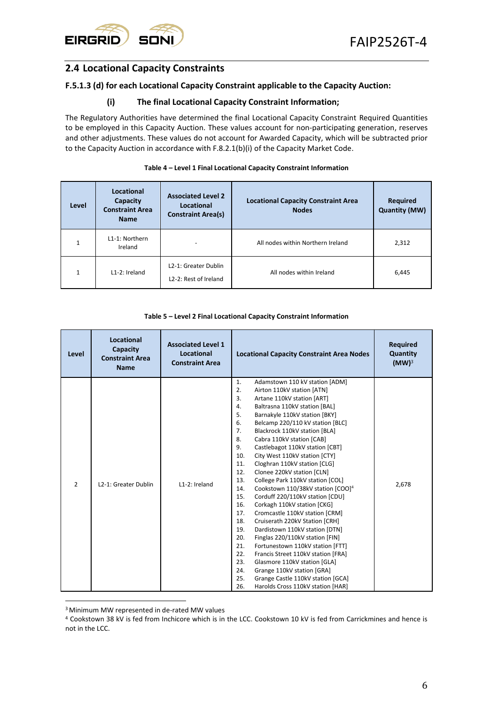

## <span id="page-5-0"></span>**2.4 Locational Capacity Constraints**

#### **F.5.1.3 (d) for each Locational Capacity Constraint applicable to the Capacity Auction:**

#### **(i) The final Locational Capacity Constraint Information;**

The Regulatory Authorities have determined the final Locational Capacity Constraint Required Quantities to be employed in this Capacity Auction. These values account for non-participating generation, reserves and other adjustments. These values do not account for Awarded Capacity, which will be subtracted prior to the Capacity Auction in accordance with F.8.2.1(b)(i) of the Capacity Market Code.

<span id="page-5-1"></span>

| Level        | Locational<br>Capacity<br><b>Constraint Area</b><br><b>Name</b> | <b>Associated Level 2</b><br>Locational<br><b>Constraint Area(s)</b> | <b>Locational Capacity Constraint Area</b><br><b>Nodes</b> | <b>Required</b><br><b>Quantity (MW)</b> |
|--------------|-----------------------------------------------------------------|----------------------------------------------------------------------|------------------------------------------------------------|-----------------------------------------|
| $\mathbf{1}$ | L1-1: Northern<br>Ireland                                       |                                                                      | All nodes within Northern Ireland                          | 2,312                                   |
| $\mathbf{1}$ | L1-2: Ireland                                                   | L2-1: Greater Dublin<br>L <sub>2</sub> -2: Rest of Ireland           | All nodes within Ireland                                   | 6,445                                   |

#### **Table 4 – Level 1 Final Locational Capacity Constraint Information**

#### **Table 5 – Level 2 Final Locational Capacity Constraint Information**

<span id="page-5-2"></span>

| Level          | <b>Locational</b><br>Capacity<br><b>Constraint Area</b><br><b>Name</b> | <b>Associated Level 1</b><br>Locational<br><b>Constraint Area</b> | <b>Locational Capacity Constraint Area Nodes</b>                                                                                                                                                                                                                                                                                                                                                                                                                                                                                                                                                                                                                                                                                                                                                                                                                                                                                                                                                                                                                                                | <b>Required</b><br>Quantity<br>$(MW)^3$ |
|----------------|------------------------------------------------------------------------|-------------------------------------------------------------------|-------------------------------------------------------------------------------------------------------------------------------------------------------------------------------------------------------------------------------------------------------------------------------------------------------------------------------------------------------------------------------------------------------------------------------------------------------------------------------------------------------------------------------------------------------------------------------------------------------------------------------------------------------------------------------------------------------------------------------------------------------------------------------------------------------------------------------------------------------------------------------------------------------------------------------------------------------------------------------------------------------------------------------------------------------------------------------------------------|-----------------------------------------|
| $\overline{2}$ | L2-1: Greater Dublin                                                   | L1-2: Ireland                                                     | 1.<br>Adamstown 110 kV station [ADM]<br>2.<br>Airton 110kV station [ATN]<br>3.<br>Artane 110kV station [ART]<br>4.<br>Baltrasna 110kV station [BAL]<br>5.<br>Barnakyle 110kV station [BKY]<br>6.<br>Belcamp 220/110 kV station [BLC]<br>7.<br>Blackrock 110kV station [BLA]<br>8.<br>Cabra 110kV station [CAB]<br>9.<br>Castlebagot 110kV station [CBT]<br>10.<br>City West 110kV station [CTY]<br>11.<br>Cloghran 110kV station [CLG]<br>12.<br>Clonee 220kV station [CLN]<br>13.<br>College Park 110kV station [COL]<br>14.<br>Cookstown 110/38kV station [COO] <sup>4</sup><br>15.<br>Corduff 220/110kV station [CDU]<br>16.<br>Corkagh 110kV station [CKG]<br>17.<br>Cromcastle 110kV station [CRM]<br>18.<br>Cruiserath 220kV Station [CRH]<br>19.<br>Dardistown 110kV station [DTN]<br>20.<br>Finglas 220/110kV station [FIN]<br>21.<br>Fortunestown 110kV station [FTT]<br>22.<br>Francis Street 110kV station [FRA]<br>23.<br>Glasmore 110kV station [GLA]<br>24.<br>Grange 110kV station [GRA]<br>25.<br>Grange Castle 110kV station [GCA]<br>26.<br>Harolds Cross 110kV station [HAR] | 2,678                                   |

<sup>3</sup>Minimum MW represented in de-rated MW values

<sup>4</sup> Cookstown 38 kV is fed from Inchicore which is in the LCC. Cookstown 10 kV is fed from Carrickmines and hence is not in the LCC.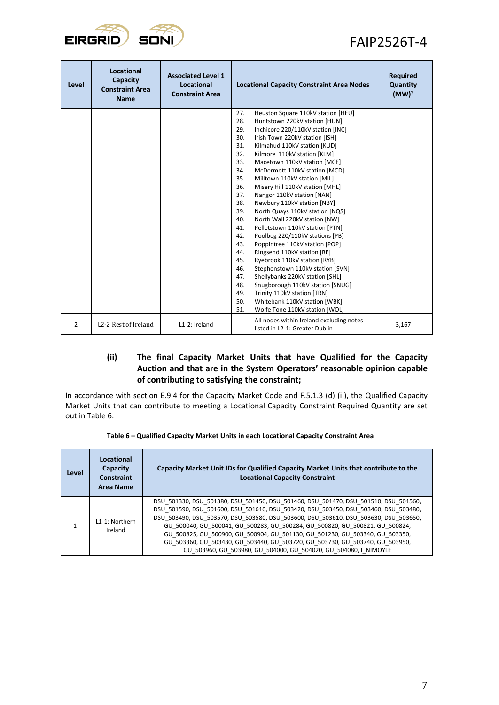

| Level | <b>Locational</b><br>Capacity<br><b>Constraint Area</b><br><b>Name</b> | <b>Associated Level 1</b><br>Locational<br><b>Constraint Area</b> | <b>Locational Capacity Constraint Area Nodes</b>                                  | <b>Required</b><br>Quantity<br>(MW) <sup>3</sup> |
|-------|------------------------------------------------------------------------|-------------------------------------------------------------------|-----------------------------------------------------------------------------------|--------------------------------------------------|
|       |                                                                        |                                                                   | 27.<br>Heuston Square 110kV station [HEU]<br>28.<br>Huntstown 220kV station [HUN] |                                                  |
|       |                                                                        |                                                                   | 29.<br>Inchicore 220/110kV station [INC]                                          |                                                  |
|       |                                                                        |                                                                   | 30.<br>Irish Town 220kV station [ISH]                                             |                                                  |
|       |                                                                        |                                                                   | 31.<br>Kilmahud 110kV station [KUD]                                               |                                                  |
|       |                                                                        |                                                                   | 32.<br>Kilmore 110kV station [KLM]                                                |                                                  |
|       |                                                                        |                                                                   | 33.<br>Macetown 110kV station [MCE]                                               |                                                  |
|       |                                                                        |                                                                   | 34.<br>McDermott 110kV station [MCD]                                              |                                                  |
|       |                                                                        |                                                                   | 35.<br>Milltown 110kV station [MIL]                                               |                                                  |
|       |                                                                        |                                                                   | 36.<br>Misery Hill 110kV station [MHL]                                            |                                                  |
|       |                                                                        |                                                                   | 37.<br>Nangor 110kV station [NAN]                                                 |                                                  |
|       |                                                                        |                                                                   | 38.<br>Newbury 110kV station [NBY]                                                |                                                  |
|       |                                                                        |                                                                   | 39.<br>North Quays 110kV station [NQS]                                            |                                                  |
|       |                                                                        |                                                                   | 40.<br>North Wall 220kV station [NW]                                              |                                                  |
|       |                                                                        |                                                                   | 41.<br>Pelletstown 110kV station [PTN]                                            |                                                  |
|       |                                                                        |                                                                   | 42.<br>Poolbeg 220/110kV stations [PB]<br>43.                                     |                                                  |
|       |                                                                        |                                                                   | Poppintree 110kV station [POP]<br>44.<br>Ringsend 110kV station [RE]              |                                                  |
|       |                                                                        |                                                                   | 45.<br>Ryebrook 110kV station [RYB]                                               |                                                  |
|       |                                                                        |                                                                   | 46.<br>Stephenstown 110kV station [SVN]                                           |                                                  |
|       |                                                                        |                                                                   | 47.<br>Shellybanks 220kV station [SHL]                                            |                                                  |
|       |                                                                        |                                                                   | 48.<br>Snugborough 110kV station [SNUG]                                           |                                                  |
|       |                                                                        |                                                                   | 49.<br>Trinity 110kV station [TRN]                                                |                                                  |
|       |                                                                        |                                                                   | 50.<br>Whitebank 110kV station [WBK]                                              |                                                  |
|       |                                                                        |                                                                   | 51.<br>Wolfe Tone 110kV station [WOL]                                             |                                                  |
| 2     | L2-2 Rest of Ireland                                                   | L1-2: Ireland                                                     | All nodes within Ireland excluding notes<br>listed in L2-1: Greater Dublin        | 3,167                                            |

### **(ii) The final Capacity Market Units that have Qualified for the Capacity Auction and that are in the System Operators' reasonable opinion capable of contributing to satisfying the constraint;**

In accordance with section E.9.4 for the Capacity Market Code and F.5.1.3 (d) (ii), the Qualified Capacity Market Units that can contribute to meeting a Locational Capacity Constraint Required Quantity are set out in [Table 6.](#page-6-0)

<span id="page-6-0"></span>

| Level | Locational<br><b>Capacity</b><br><b>Constraint</b><br>Area Name | Capacity Market Unit IDs for Qualified Capacity Market Units that contribute to the<br><b>Locational Capacity Constraint</b>                                                                                                                                                                                                                                                                                                                                                                                                                                                          |
|-------|-----------------------------------------------------------------|---------------------------------------------------------------------------------------------------------------------------------------------------------------------------------------------------------------------------------------------------------------------------------------------------------------------------------------------------------------------------------------------------------------------------------------------------------------------------------------------------------------------------------------------------------------------------------------|
|       | 11-1: Northern<br>Ireland                                       | DSU 501330, DSU 501380, DSU 501450, DSU 501460, DSU 501470, DSU 501510, DSU 501560,<br>DSU 501590, DSU 501600, DSU 501610, DSU 503420, DSU 503450, DSU 503460, DSU 503480,<br>DSU 503490, DSU 503570, DSU 503580, DSU 503600, DSU 503610, DSU 503630, DSU 503650,<br>GU 500040, GU 500041, GU 500283, GU 500284, GU 500820, GU 500821, GU 500824,<br>GU 500825, GU 500900, GU 500904, GU 501130, GU 501230, GU 503340, GU 503350,<br>GU 503360, GU 503430, GU 503440, GU 503720, GU 503730, GU 503740, GU 503950,<br>GU 503960, GU 503980, GU 504000, GU 504020, GU 504080, I NIMOYLE |

| Table 6 – Qualified Capacity Market Units in each Locational Capacity Constraint Area |  |  |  |
|---------------------------------------------------------------------------------------|--|--|--|
|---------------------------------------------------------------------------------------|--|--|--|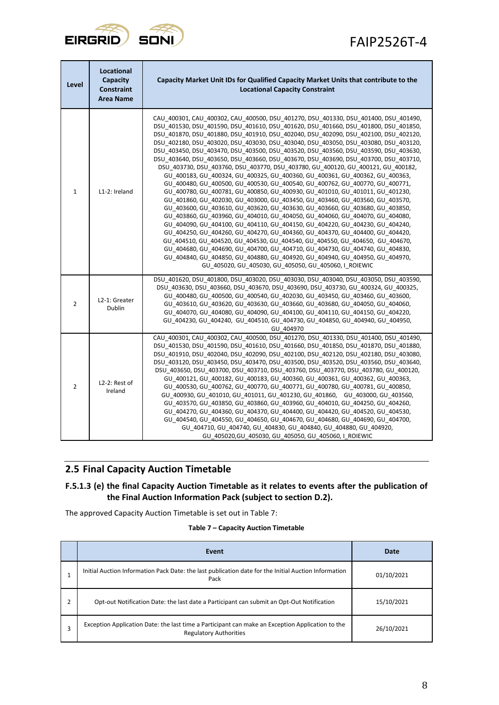

| Level          | Locational<br>Capacity<br><b>Constraint</b><br>Area Name | Capacity Market Unit IDs for Qualified Capacity Market Units that contribute to the<br><b>Locational Capacity Constraint</b>                                                                                                                                                                                                                                                                                                                                                                                                                                                                                                                                                                                                                                                                                                                                                                                                                                                                                                                                                                                                                                                                                                                                                                                                                                                                                                                                                                                                                                                                        |  |
|----------------|----------------------------------------------------------|-----------------------------------------------------------------------------------------------------------------------------------------------------------------------------------------------------------------------------------------------------------------------------------------------------------------------------------------------------------------------------------------------------------------------------------------------------------------------------------------------------------------------------------------------------------------------------------------------------------------------------------------------------------------------------------------------------------------------------------------------------------------------------------------------------------------------------------------------------------------------------------------------------------------------------------------------------------------------------------------------------------------------------------------------------------------------------------------------------------------------------------------------------------------------------------------------------------------------------------------------------------------------------------------------------------------------------------------------------------------------------------------------------------------------------------------------------------------------------------------------------------------------------------------------------------------------------------------------------|--|
| $\mathbf{1}$   | L1-2: Ireland                                            | CAU 400301, CAU 400302, CAU 400500, DSU 401270, DSU 401330, DSU 401400, DSU 401490,<br>DSU 401530, DSU 401590, DSU 401610, DSU 401620, DSU 401660, DSU 401800, DSU 401850,<br>DSU 401870, DSU 401880, DSU 401910, DSU 402040, DSU 402090, DSU 402100, DSU 402120,<br>DSU 402180, DSU 403020, DSU 403030, DSU 403040, DSU 403050, DSU 403080, DSU 403120,<br>DSU 403450, DSU 403470, DSU 403500, DSU 403520, DSU 403560, DSU 403590, DSU 403630,<br>DSU_403640, DSU_403650, DSU_403660, DSU_403670, DSU_403690, DSU_403700, DSU_403710,<br>DSU_403730, DSU_403760, DSU_403770, DSU_403780, GU_400120, GU_400121, GU_400182,<br>GU_400183, GU_400324, GU_400325, GU_400360, GU_400361, GU_400362, GU_400363,<br>GU 400480, GU 400500, GU 400530, GU 400540, GU 400762, GU 400770, GU 400771,<br>GU 400780, GU 400781, GU 400850, GU 400930, GU 401010, GU 401011, GU 401230,<br>GU_401860, GU_402030, GU_403000, GU_403450, GU_403460, GU_403560, GU_403570,<br>GU_403600, GU_403610, GU_403620, GU_403630, GU_403660, GU_403680, GU_403850,<br>GU 403860, GU 403960, GU 404010, GU 404050, GU 404060, GU 404070, GU 404080,<br>GU 404090, GU 404100, GU 404110, GU 404150, GU 404220, GU 404230, GU 404240,<br>GU 404250, GU 404260, GU 404270, GU 404360, GU 404370, GU 404400, GU 404420,<br>GU 404510, GU 404520, GU 404530, GU 404540, GU 404550, GU 404650, GU 404670,<br>GU_404680, GU_404690, GU_404700, GU_404710, GU_404730, GU_404740, GU_404830,<br>GU_404840, GU_404850, GU_404880, GU_404920, GU_404940, GU_404950, GU_404970,<br>GU_405020, GU_405030, GU_405050, GU_405060, I_ROIEWIC |  |
| $\overline{2}$ | L2-1: Greater<br>Dublin                                  | DSU_401620, DSU_401800, DSU_403020, DSU_403030, DSU_403040, DSU_403050, DSU_403590,<br>DSU 403630, DSU 403660, DSU 403670, DSU 403690, DSU 403730, GU 400324, GU 400325,<br>GU_400480, GU_400500, GU_400540, GU_402030, GU_403450, GU_403460, GU_403600,<br>GU 403610, GU 403620, GU 403630, GU 403660, GU 403680, GU 404050, GU 404060,<br>GU 404070, GU 404080, GU 404090, GU 404100, GU 404110, GU 404150, GU 404220,<br>GU 404230, GU 404240, GU 404510, GU 404730, GU 404850, GU 404940, GU 404950,<br>GU 404970                                                                                                                                                                                                                                                                                                                                                                                                                                                                                                                                                                                                                                                                                                                                                                                                                                                                                                                                                                                                                                                                               |  |
| 2              | L2-2: Rest of<br>Ireland                                 | CAU 400301, CAU 400302, CAU 400500, DSU 401270, DSU 401330, DSU 401400, DSU 401490,<br>DSU_401530, DSU_401590, DSU_401610, DSU_401660, DSU_401850, DSU_401870, DSU_401880,<br>DSU_401910, DSU_402040, DSU_402090, DSU_402100, DSU_402120, DSU_402180, DSU_403080,<br>DSU_403120, DSU_403450, DSU_403470, DSU_403500, DSU_403520, DSU_403560, DSU_403640,<br>DSU_403650, DSU_403700, DSU_403710, DSU_403760, DSU_403770, DSU_403780, GU_400120,<br>GU_400121, GU_400182, GU_400183, GU_400360, GU_400361, GU_400362, GU_400363,<br>GU_400530, GU_400762, GU_400770, GU_400771, GU_400780, GU_400781, GU_400850,<br>GU 400930, GU 401010, GU 401011, GU 401230, GU 401860, GU 403000, GU 403560,<br>GU 403570, GU 403850, GU 403860, GU 403960, GU 404010, GU 404250, GU 404260,<br>GU 404270, GU 404360, GU 404370, GU 404400, GU 404420, GU 404520, GU 404530,<br>GU 404540, GU 404550, GU 404650, GU 404670, GU 404680, GU 404690, GU 404700,<br>GU 404710, GU 404740, GU 404830, GU 404840, GU 404880, GU 404920,<br>GU 405020, GU 405030, GU 405050, GU 405060, I ROIEWIC                                                                                                                                                                                                                                                                                                                                                                                                                                                                                                                        |  |

## <span id="page-7-0"></span>**2.5 Final Capacity Auction Timetable**

## **F.5.1.3 (e) the final Capacity Auction Timetable as it relates to events after the publication of the Final Auction Information Pack (subject to section D.2).**

The approved Capacity Auction Timetable is set out in Table 7:

<span id="page-7-1"></span>

|   | Event                                                                                                                             | Date       |
|---|-----------------------------------------------------------------------------------------------------------------------------------|------------|
|   | Initial Auction Information Pack Date: the last publication date for the Initial Auction Information<br>Pack                      | 01/10/2021 |
| ำ | Opt-out Notification Date: the last date a Participant can submit an Opt-Out Notification                                         | 15/10/2021 |
|   | Exception Application Date: the last time a Participant can make an Exception Application to the<br><b>Regulatory Authorities</b> | 26/10/2021 |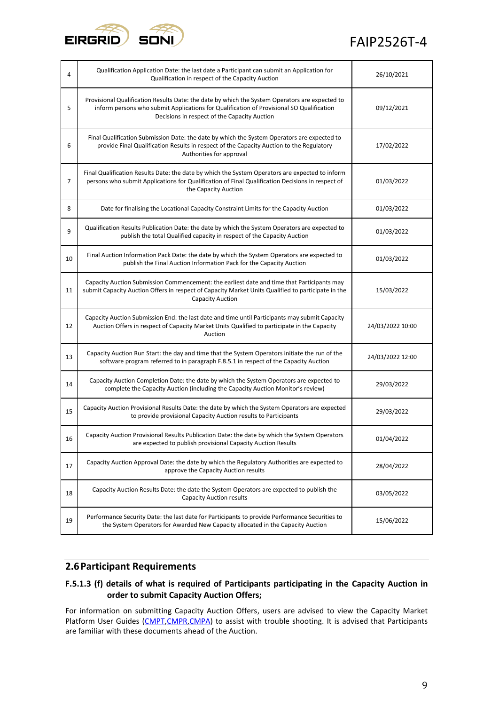

| 4  | Qualification Application Date: the last date a Participant can submit an Application for<br>Qualification in respect of the Capacity Auction                                                                                              | 26/10/2021       |
|----|--------------------------------------------------------------------------------------------------------------------------------------------------------------------------------------------------------------------------------------------|------------------|
| 5  | Provisional Qualification Results Date: the date by which the System Operators are expected to<br>inform persons who submit Applications for Qualification of Provisional SO Qualification<br>Decisions in respect of the Capacity Auction | 09/12/2021       |
| 6  | Final Qualification Submission Date: the date by which the System Operators are expected to<br>provide Final Qualification Results in respect of the Capacity Auction to the Regulatory<br>Authorities for approval                        | 17/02/2022       |
| 7  | Final Qualification Results Date: the date by which the System Operators are expected to inform<br>persons who submit Applications for Qualification of Final Qualification Decisions in respect of<br>the Capacity Auction                | 01/03/2022       |
| 8  | Date for finalising the Locational Capacity Constraint Limits for the Capacity Auction                                                                                                                                                     | 01/03/2022       |
| 9  | Qualification Results Publication Date: the date by which the System Operators are expected to<br>publish the total Qualified capacity in respect of the Capacity Auction                                                                  | 01/03/2022       |
| 10 | Final Auction Information Pack Date: the date by which the System Operators are expected to<br>publish the Final Auction Information Pack for the Capacity Auction                                                                         | 01/03/2022       |
| 11 | Capacity Auction Submission Commencement: the earliest date and time that Participants may<br>submit Capacity Auction Offers in respect of Capacity Market Units Qualified to participate in the<br><b>Capacity Auction</b>                | 15/03/2022       |
| 12 | Capacity Auction Submission End: the last date and time until Participants may submit Capacity<br>Auction Offers in respect of Capacity Market Units Qualified to participate in the Capacity<br>Auction                                   | 24/03/2022 10:00 |
| 13 | Capacity Auction Run Start: the day and time that the System Operators initiate the run of the<br>software program referred to in paragraph F.8.5.1 in respect of the Capacity Auction                                                     | 24/03/2022 12:00 |
| 14 | Capacity Auction Completion Date: the date by which the System Operators are expected to<br>complete the Capacity Auction (including the Capacity Auction Monitor's review)                                                                | 29/03/2022       |
| 15 | Capacity Auction Provisional Results Date: the date by which the System Operators are expected<br>to provide provisional Capacity Auction results to Participants                                                                          | 29/03/2022       |
| 16 | Capacity Auction Provisional Results Publication Date: the date by which the System Operators<br>are expected to publish provisional Capacity Auction Results                                                                              | 01/04/2022       |
| 17 | Capacity Auction Approval Date: the date by which the Regulatory Authorities are expected to<br>approve the Capacity Auction results                                                                                                       | 28/04/2022       |
| 18 | Capacity Auction Results Date: the date the System Operators are expected to publish the<br><b>Capacity Auction results</b>                                                                                                                | 03/05/2022       |
| 19 | Performance Security Date: the last date for Participants to provide Performance Securities to<br>the System Operators for Awarded New Capacity allocated in the Capacity Auction                                                          | 15/06/2022       |

## <span id="page-8-0"></span>**2.6Participant Requirements**

## **F.5.1.3 (f) details of what is required of Participants participating in the Capacity Auction in order to submit Capacity Auction Offers;**

For information on submitting Capacity Auction Offers, users are advised to view the Capacity Market Platform User Guides [\(CMPT,](https://www.sem-o.com/documents/general-publications/Capacity-Market-CMPT-Guide.pdf) [CMPR,](https://www.sem-o.com/documents/general-publications/Capacity-Market-CMPR-Guide.pdf) [CMPA\)](https://www.sem-o.com/documents/general-publications/Capacity-Market-CMPA-Guide.pdf) to assist with trouble shooting. It is advised that Participants are familiar with these documents ahead of the Auction.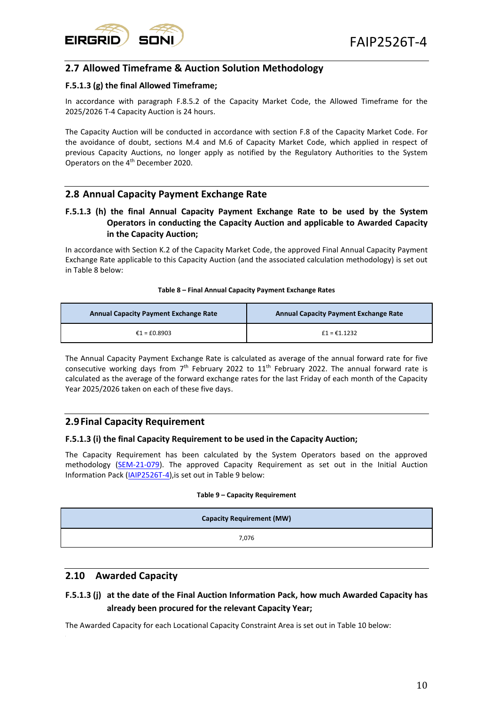

## <span id="page-9-0"></span>**2.7 Allowed Timeframe & Auction Solution Methodology**

#### **F.5.1.3 (g) the final Allowed Timeframe;**

In accordance with paragraph F.8.5.2 of the Capacity Market Code, the Allowed Timeframe for the 2025/2026 T-4 Capacity Auction is 24 hours.

The Capacity Auction will be conducted in accordance with section F.8 of the Capacity Market Code. For the avoidance of doubt, sections M.4 and M.6 of Capacity Market Code, which applied in respect of previous Capacity Auctions, no longer apply as notified by the Regulatory Authorities to the System Operators on the 4<sup>th</sup> December 2020.

## <span id="page-9-1"></span>**2.8 Annual Capacity Payment Exchange Rate**

#### **F.5.1.3 (h) the final Annual Capacity Payment Exchange Rate to be used by the System Operators in conducting the Capacity Auction and applicable to Awarded Capacity in the Capacity Auction;**

In accordance with Section K.2 of the Capacity Market Code, the approved Final Annual Capacity Payment Exchange Rate applicable to this Capacity Auction (and the associated calculation methodology) is set out in Table 8 below:

#### **Table 8 – Final Annual Capacity Payment Exchange Rates**

<span id="page-9-4"></span>

| <b>Annual Capacity Payment Exchange Rate</b> | <b>Annual Capacity Payment Exchange Rate</b> |
|----------------------------------------------|----------------------------------------------|
| $£1 = £0.8903$                               | $f1 = f1.1232$                               |

The Annual Capacity Payment Exchange Rate is calculated as average of the annual forward rate for five consecutive working days from  $7<sup>th</sup>$  February 2022 to 11<sup>th</sup> February 2022. The annual forward rate is calculated as the average of the forward exchange rates for the last Friday of each month of the Capacity Year 2025/2026 taken on each of these five days.

#### <span id="page-9-2"></span>**2.9Final Capacity Requirement**

#### **F.5.1.3 (i) the final Capacity Requirement to be used in the Capacity Auction;**

The Capacity Requirement has been calculated by the System Operators based on the approved methodology [\(SEM-21-079\)](https://www.semcommittee.com/sites/semc/files/media-files/T-4_2025_26_Parameters_Decision_Paper.pdf). The approved Capacity Requirement as set out in the Initial Auction Information Pack [\(IAIP2526T-4\)](https://www.sem-o.com/documents/general-publications/Initial-Auction-Information-Pack_IAIP2526T-4.pdf),is set out in Table 9 below:

#### **Table 9 – Capacity Requirement**

<span id="page-9-5"></span>

| <b>Capacity Requirement (MW)</b> |  |
|----------------------------------|--|
| 7,076                            |  |

#### <span id="page-9-3"></span>**2.10 Awarded Capacity**

## **F.5.1.3 (j) at the date of the Final Auction Information Pack, how much Awarded Capacity has already been procured for the relevant Capacity Year;**

The Awarded Capacity for each Locational Capacity Constraint Area is set out i[n Table 10](#page-10-3) below: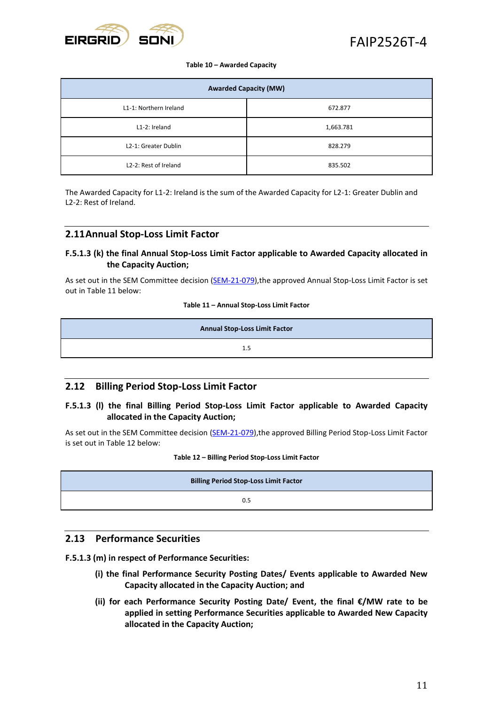

#### **Table 10 – Awarded Capacity**

<span id="page-10-3"></span>

| <b>Awarded Capacity (MW)</b> |           |  |
|------------------------------|-----------|--|
| L1-1: Northern Ireland       | 672.877   |  |
| L1-2: Ireland                | 1,663.781 |  |
| L2-1: Greater Dublin         | 828.279   |  |
| L2-2: Rest of Ireland        | 835.502   |  |

The Awarded Capacity for L1-2: Ireland is the sum of the Awarded Capacity for L2-1: Greater Dublin and L2-2: Rest of Ireland.

#### <span id="page-10-0"></span>**2.11Annual Stop-Loss Limit Factor**

#### **F.5.1.3 (k) the final Annual Stop-Loss Limit Factor applicable to Awarded Capacity allocated in the Capacity Auction;**

<span id="page-10-4"></span>As set out in the SEM Committee decision [\(SEM-21-079\)](https://www.semcommittee.com/sites/semc/files/media-files/T-4_2025_26_Parameters_Decision_Paper.pdf), the approved Annual Stop-Loss Limit Factor is set out in Table 11 below:

#### **Table 11 – Annual Stop-Loss Limit Factor**

| <b>Annual Stop-Loss Limit Factor</b> |     |  |
|--------------------------------------|-----|--|
|                                      | 1.5 |  |

#### <span id="page-10-1"></span>**2.12 Billing Period Stop-Loss Limit Factor**

#### **F.5.1.3 (l) the final Billing Period Stop-Loss Limit Factor applicable to Awarded Capacity allocated in the Capacity Auction;**

<span id="page-10-5"></span>As set out in the SEM Committee decision [\(SEM-21-079\)](https://www.semcommittee.com/sites/semc/files/media-files/T-4_2025_26_Parameters_Decision_Paper.pdf), the approved Billing Period Stop-Loss Limit Factor is set out in Table 12 below:

#### **Table 12 – Billing Period Stop-Loss Limit Factor**

| <b>Billing Period Stop-Loss Limit Factor</b> |  |
|----------------------------------------------|--|
| 0.5                                          |  |

### <span id="page-10-2"></span>**2.13 Performance Securities**

**F.5.1.3 (m) in respect of Performance Securities:**

- **(i) the final Performance Security Posting Dates/ Events applicable to Awarded New Capacity allocated in the Capacity Auction; and**
- **(ii) for each Performance Security Posting Date/ Event, the final €/MW rate to be applied in setting Performance Securities applicable to Awarded New Capacity allocated in the Capacity Auction;**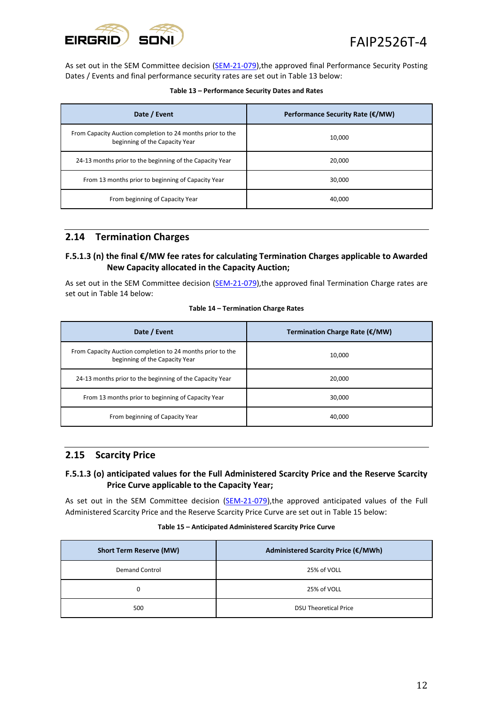

<span id="page-11-2"></span>As set out in the SEM Committee decision [\(SEM-21-079\)](https://www.semcommittee.com/sites/semc/files/media-files/T-4_2025_26_Parameters_Decision_Paper.pdf), the approved final Performance Security Posting Dates / Events and final performance security rates are set out in Table 13 below:

| Date / Event                                                                                 | Performance Security Rate (€/MW) |
|----------------------------------------------------------------------------------------------|----------------------------------|
| From Capacity Auction completion to 24 months prior to the<br>beginning of the Capacity Year | 10,000                           |
| 24-13 months prior to the beginning of the Capacity Year                                     | 20.000                           |
| From 13 months prior to beginning of Capacity Year                                           | 30.000                           |
| From beginning of Capacity Year                                                              | 40.000                           |

## <span id="page-11-0"></span>**2.14 Termination Charges**

#### **F.5.1.3 (n) the final €/MW fee rates for calculating Termination Charges applicable to Awarded New Capacity allocated in the Capacity Auction;**

<span id="page-11-3"></span>As set out in the SEM Committee decision [\(SEM-21-079\)](https://www.semcommittee.com/sites/semc/files/media-files/T-4_2025_26_Parameters_Decision_Paper.pdf), the approved final Termination Charge rates are set out in Table 14 below:

| Table 14 - Termination Charge Rates |  |  |
|-------------------------------------|--|--|
|-------------------------------------|--|--|

| Date / Event                                                                                 | Termination Charge Rate (€/MW) |
|----------------------------------------------------------------------------------------------|--------------------------------|
| From Capacity Auction completion to 24 months prior to the<br>beginning of the Capacity Year | 10,000                         |
| 24-13 months prior to the beginning of the Capacity Year                                     | 20,000                         |
| From 13 months prior to beginning of Capacity Year                                           | 30,000                         |
| From beginning of Capacity Year                                                              | 40.000                         |

## <span id="page-11-1"></span>**2.15 Scarcity Price**

#### **F.5.1.3 (o) anticipated values for the Full Administered Scarcity Price and the Reserve Scarcity Price Curve applicable to the Capacity Year;**

<span id="page-11-4"></span>As set out in the SEM Committee decision [\(SEM-21-079\)](https://www.semcommittee.com/sites/semc/files/media-files/T-4_2025_26_Parameters_Decision_Paper.pdf), the approved anticipated values of the Full Administered Scarcity Price and the Reserve Scarcity Price Curve are set out in Table 15 below:

|  | Table 15 – Anticipated Administered Scarcity Price Curve |  |
|--|----------------------------------------------------------|--|
|  |                                                          |  |

| <b>Short Term Reserve (MW)</b> | Administered Scarcity Price (€/MWh) |
|--------------------------------|-------------------------------------|
| <b>Demand Control</b>          | 25% of VOLL                         |
| 0                              | 25% of VOLL                         |
| 500                            | <b>DSU Theoretical Price</b>        |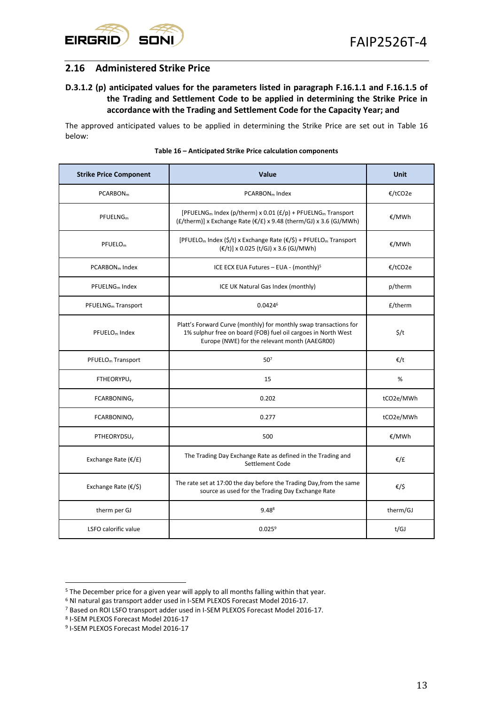

## <span id="page-12-0"></span>**2.16 Administered Strike Price**

### **D.3.1.2 (p) anticipated values for the parameters listed in paragraph F.16.1.1 and F.16.1.5 of the Trading and Settlement Code to be applied in determining the Strike Price in accordance with the Trading and Settlement Code for the Capacity Year; and**

<span id="page-12-1"></span>The approved anticipated values to be applied in determining the Strike Price are set out in [Table 16](#page-12-1) below:

| <b>Strike Price Component</b>          | Value                                                                                                                                                                               | Unit      |
|----------------------------------------|-------------------------------------------------------------------------------------------------------------------------------------------------------------------------------------|-----------|
| PCARBON <sub>m</sub>                   | PCARBON <sub>m</sub> Index                                                                                                                                                          | €/tCO2e   |
| PFUELNG <sub>m</sub>                   | [PFUELNG <sub>m</sub> Index (p/therm) x 0.01 ( $E/p$ ) + PFUELNG <sub>m</sub> Transport<br>$(f/\text{therm})$ x Exchange Rate $(f)$ x 9.48 (therm/GJ) x 3.6 (GJ/MWh)                | €/MWh     |
| PFUELO <sub>m</sub>                    | [PFUELO <sub>m</sub> Index (\$/t) x Exchange Rate (€/\$) + PFUELO <sub>m</sub> Transport<br>(€/t)] x 0.025 (t/GJ) x 3.6 (GJ/MWh)                                                    | €/MWh     |
| PCARBON <sub>m</sub> Index             | ICE ECX EUA Futures - EUA - (monthly) <sup>5</sup>                                                                                                                                  | €/tCO2e   |
| $PFLUEINGm$ Index                      | ICE UK Natural Gas Index (monthly)                                                                                                                                                  | p/therm   |
| PFUELNG <sub>m</sub> Transport         | $0.0424^6$                                                                                                                                                                          | £/therm   |
| PFUELO <sub>m</sub> Index              | Platt's Forward Curve (monthly) for monthly swap transactions for<br>1% sulphur free on board (FOB) fuel oil cargoes in North West<br>Europe (NWE) for the relevant month (AAEGR00) | \$/t      |
| PFUELO <sub>m</sub> Transport          | 50 <sup>7</sup>                                                                                                                                                                     | €/t       |
| <b>FTHEORYPU<sub>v</sub></b>           | 15                                                                                                                                                                                  | %         |
| FCARBONING <sub>v</sub>                | 0.202                                                                                                                                                                               | tCO2e/MWh |
| <b>FCARBONINO<sub>V</sub></b>          | 0.277                                                                                                                                                                               | tCO2e/MWh |
| PTHEORYDSU <sub>v</sub>                | 500                                                                                                                                                                                 | €/MWh     |
| Exchange Rate $(\varepsilon/\text{f})$ | The Trading Day Exchange Rate as defined in the Trading and<br>Settlement Code                                                                                                      | €/£       |
| Exchange Rate $(E/$)$                  | The rate set at 17:00 the day before the Trading Day, from the same<br>source as used for the Trading Day Exchange Rate                                                             | €/\$      |
| therm per GJ                           | $9.48^8$                                                                                                                                                                            | therm/GJ  |
| LSFO calorific value                   | $0.025^9$                                                                                                                                                                           | t/GJ      |

#### **Table 16 – Anticipated Strike Price calculation components**

<sup>5</sup> The December price for a given year will apply to all months falling within that year.

<sup>6</sup> NI natural gas transport adder used in I-SEM PLEXOS Forecast Model 2016-17.

<sup>7</sup> Based on ROI LSFO transport adder used in I-SEM PLEXOS Forecast Model 2016-17.

<sup>8</sup> I-SEM PLEXOS Forecast Model 2016-17

<sup>9</sup> I-SEM PLEXOS Forecast Model 2016-17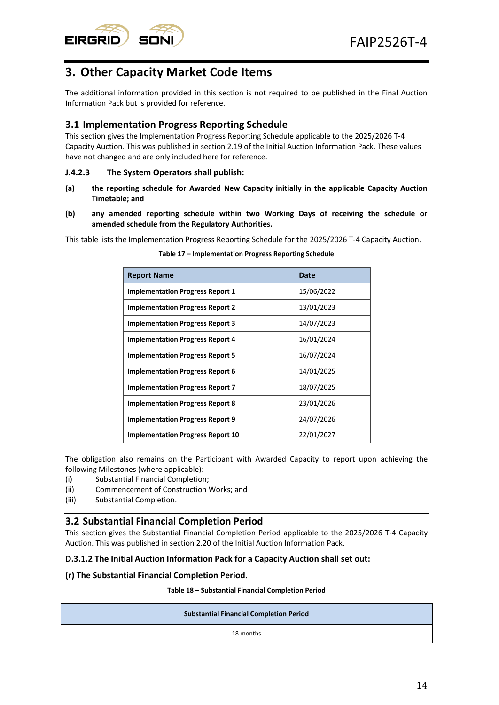# <span id="page-13-0"></span>**3. Other Capacity Market Code Items**

The additional information provided in this section is not required to be published in the Final Auction Information Pack but is provided for reference.

## <span id="page-13-1"></span>**3.1 Implementation Progress Reporting Schedule**

This section gives the Implementation Progress Reporting Schedule applicable to the 2025/2026 T-4 Capacity Auction. This was published in section 2.19 of the Initial Auction Information Pack. These values have not changed and are only included here for reference.

#### **J.4.2.3 The System Operators shall publish:**

- **(a) the reporting schedule for Awarded New Capacity initially in the applicable Capacity Auction Timetable; and**
- **(b) any amended reporting schedule within two Working Days of receiving the schedule or amended schedule from the Regulatory Authorities.**

<span id="page-13-3"></span>This table lists the Implementation Progress Reporting Schedule for the 2025/2026 T-4 Capacity Auction.

| <b>Report Name</b>                       | <b>Date</b> |
|------------------------------------------|-------------|
| <b>Implementation Progress Report 1</b>  | 15/06/2022  |
| <b>Implementation Progress Report 2</b>  | 13/01/2023  |
| <b>Implementation Progress Report 3</b>  | 14/07/2023  |
| <b>Implementation Progress Report 4</b>  | 16/01/2024  |
| <b>Implementation Progress Report 5</b>  | 16/07/2024  |
| <b>Implementation Progress Report 6</b>  | 14/01/2025  |
| <b>Implementation Progress Report 7</b>  | 18/07/2025  |
| <b>Implementation Progress Report 8</b>  | 23/01/2026  |
| <b>Implementation Progress Report 9</b>  | 24/07/2026  |
| <b>Implementation Progress Report 10</b> | 22/01/2027  |

#### **Table 17 – Implementation Progress Reporting Schedule**

The obligation also remains on the Participant with Awarded Capacity to report upon achieving the following Milestones (where applicable):

- (i) Substantial Financial Completion;
- (ii) Commencement of Construction Works; and
- <span id="page-13-2"></span>(iii) Substantial Completion.

## **3.2 Substantial Financial Completion Period**

This section gives the Substantial Financial Completion Period applicable to the 2025/2026 T-4 Capacity Auction. This was published in section 2.20 of the Initial Auction Information Pack.

#### **D.3.1.2 The Initial Auction Information Pack for a Capacity Auction shall set out:**

#### <span id="page-13-4"></span>**(r) The Substantial Financial Completion Period.**

#### **Table 18 – Substantial Financial Completion Period**

| <b>Substantial Financial Completion Period</b> |  |
|------------------------------------------------|--|
| 18 months                                      |  |